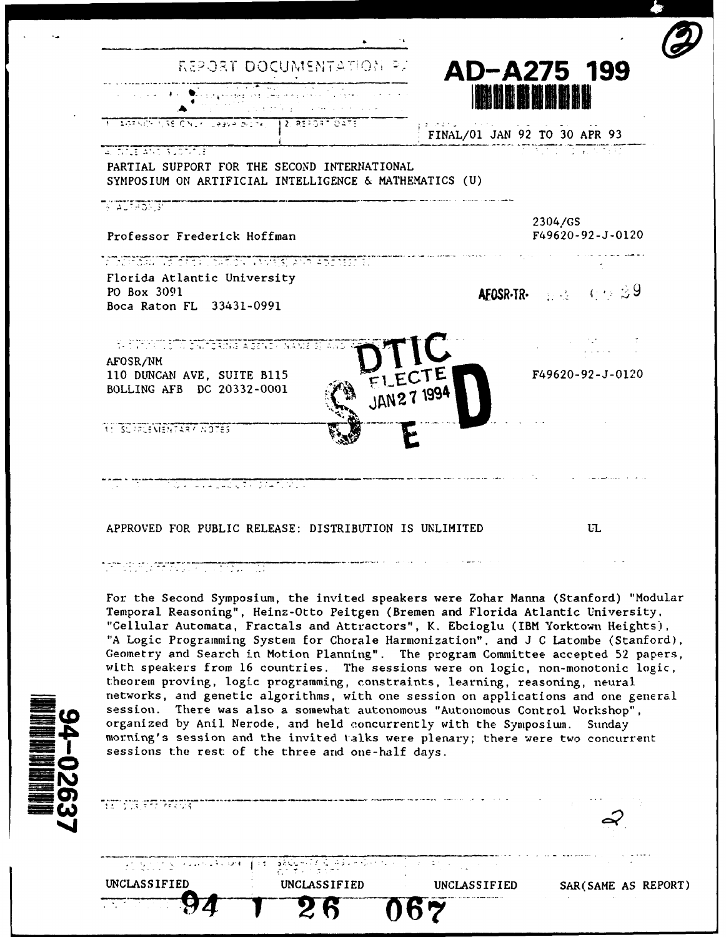| REPORT DOCUMENTATION PA                                                                                                                                                                                                        | AD-A275 199                                                                                            |
|--------------------------------------------------------------------------------------------------------------------------------------------------------------------------------------------------------------------------------|--------------------------------------------------------------------------------------------------------|
|                                                                                                                                                                                                                                | <b>MAGE OF ALL</b>                                                                                     |
| <b>ALGENCY USE CNLY LOGICA BILTY</b><br>12. REFORT DATE                                                                                                                                                                        | FINAL/01 JAN 92 TO 30 APR 93                                                                           |
| <b>ALIMENT SUDTIME</b><br>PARTIAL SUPPORT FOR THE SECOND INTERNATIONAL<br>SYMPOSIUM ON ARTIFICIAL INTELLIGENCE & MATHEMATICS (U)                                                                                               |                                                                                                        |
| <b>AUTHORITY</b>                                                                                                                                                                                                               |                                                                                                        |
| Professor Frederick Hoffman                                                                                                                                                                                                    | 2304/GS<br>F49620-92-J-0120                                                                            |
|                                                                                                                                                                                                                                |                                                                                                        |
| Florida Atlantic University<br>PO Box 3091<br>Boca Raton FL 33431-0991                                                                                                                                                         | <b>AEOSR-TR-</b> $\Rightarrow$ $\Rightarrow$ $\Rightarrow$ $\Rightarrow$ $\Rightarrow$ $\Rightarrow$ 9 |
| <u>SE SHIPSIN SIN SATISATIS AGENS (NAMES)</u>                                                                                                                                                                                  |                                                                                                        |
| AFOSR/NM<br>110 DUNCAN AVE, SUITE B115<br>FLECTE<br>BOLLING AFB DC 20332-0001<br>JAN27 1994                                                                                                                                    | F49620-92-J-0120                                                                                       |
| <b>11 SUPPLEMENTARY NOTES</b>                                                                                                                                                                                                  |                                                                                                        |
| is a contract of the second second second second second second second second second second second second second second second second second second second second second second second second second second second second secon |                                                                                                        |
|                                                                                                                                                                                                                                |                                                                                                        |

## 

**-E**

For the Second Symposium, the invited speakers were Zohar Manna (Stanford) "Modular Temporal Reasoning", Heinz-Otto Peitgen (Bremen and Florida Atlantic University, "Cellular Automata, Fractals and Attractors", K. Ebcioglu (IBM Yorktown Heights), "A Logic Programming System for Chorale Harmonization", and J C Latombe (Stanford), Geometry and Search in Motion Planning". The program Committee accepted 52 papers, with speakers from 16 countries. The sessions were on logic, non-monotonic logic, theorem proving, logic programming, constraints, learning, reasoning, neural networks, and genetic algorithms, with one session on applications and one general session. There was also a somewhat autonomous "Autonomous Control Workshop", organized by Anil Nerode, and held concurrently with the Symposium. Sunday morning's session and the invited talks were plenary; there were two concurrent sessions the rest of the three and one-half days.

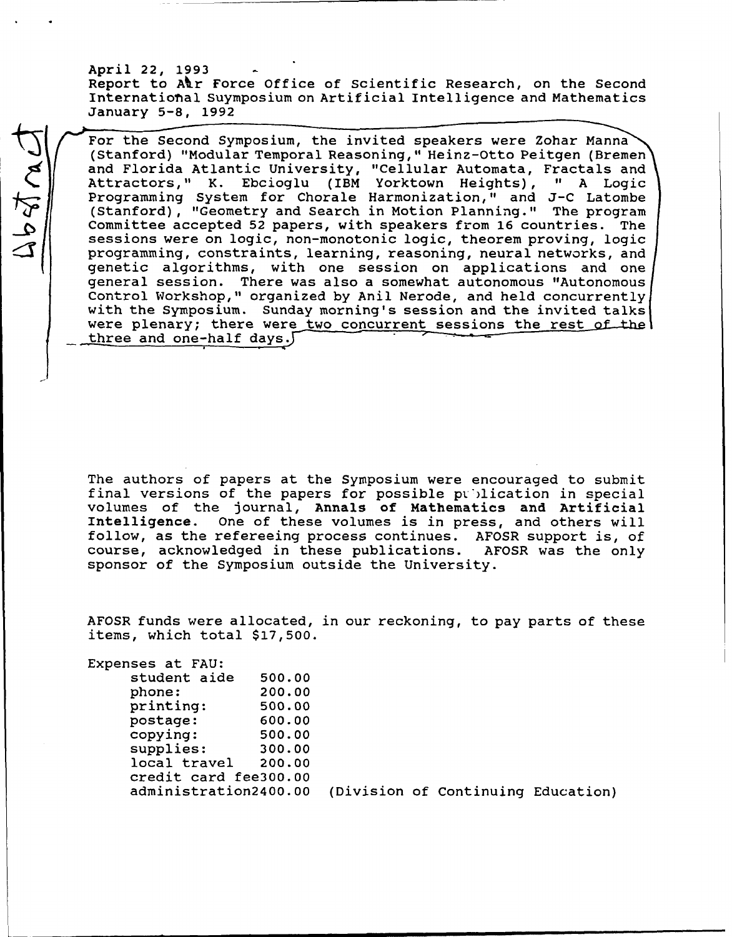April 22, 1993 Report to Alr Force Office of Scientific Research, on the Second Internationhal Suymposium on Artificial Intelligence and Mathematics January 5-8, 1992

For the Second Symposium, the invited speakers were Zohar Manna<br>
(Stanford) "Modular Temporal Reasoning," Heinz-Otto Peitgen (Bremen<br>
and Florida Atlantic University, "Cellular Automata, Fractals and<br>
Attractors," K. Ebcio For the Second Symposium, the invited speakers were Zohar Manna (Stanford) "Modular Temporal Reasoning," Heinz-Otto Peitgen (Bremen) and Florida Atlantic University, "Cellular Automata, Fractals and (Stanford), "Geometry and Search in Motion Planning." The program Committee accepted 52 papers, with speakers from 16 countries. The sessions were on logic, non-monotonic logic, theorem proving, logic programming, constraints, learning, reasoning, neural networks, and genetic algorithms, with one session on applications and one<br>general session. There was also a somewhat autonomous "Autonomous general session. There was also a somewhat autonomous "Autonomous<br>Control Workshop," organized by Anil Nerode, and held concurrently Control Workshop," organized by Anil Nerode, and held concurrently<br>with the Symposium... Sunday morning's session and the invited talks with the Symposium. Sunday morning's session and the invited talks<br>were plenary; there were two concurrent sessions the rest of the three and one-half days.

> The authors of papers at the Symposium were encouraged to submit The authors of papers at the Symposium were encouraged to submi-<br>final versions of the papers for possible publication in special final versions of the papers for possible publication in special volumes of the journal, Annals of Mathematics and Artificial Intelligence. One of these volumes is in press, and others will follow, as the refereeing process continues. AFOSR support is, of<br>course acknowledged in these publications AFOSP was the only course, acknowledged in these publications. AFOSR was the only sponsor of the Symposium outside the University.

> AFOSR funds were allocated, in our reckoning, to pay parts of these AFOSR funds were allocated,<br>items, which total \$17,500 Expenses at FAU:

ses at FAU:<br>student aide - 500.00

| student aide          | 500.00 |
|-----------------------|--------|
| phone:                | 200.00 |
| printing:             | 500.00 |
| postage:              | 600.00 |
| copying:              | 500.00 |
| supplies:             | 300.00 |
| local travel          | 200.00 |
| credit card fee300.00 |        |
| administration2400.00 |        |

(Division of Continuing Education)